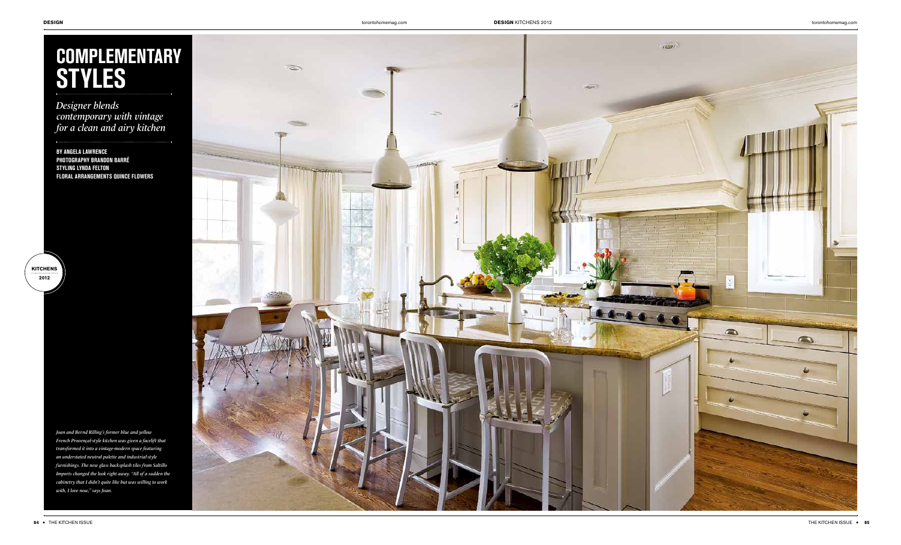

*Designer blends contemporary with vintage for a clean and airy kitchen*

**BY ANGELA LAWRENCE PHOTOGRAPHY BRANDON BARRÉ STYLING LYNDA FELTON FLORAL ARRANGEMENTS QUINCE FLOWERS**

*Joan and Bernd Rilling's former blue and yellow French Provençal-style kitchen was given a facelift that transformed it into a vintage-modern space featuring an understated neutral palette and industrial-style furnishings. The new glass backsplash tiles from Saltillo Imports changed the look right away. "All of a sudden the cabinetry that I didn't quite like but was willing to work with, I love now," says Joan.*



**KITCHENS 2012**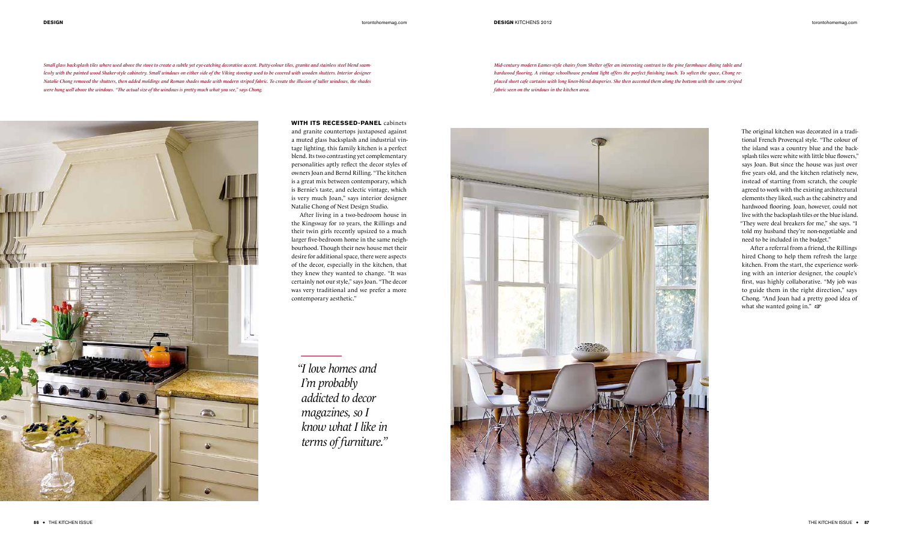## **DESIGN** torontohomemag.com **DESIGN** KITCHENS 2012 torontohomemag.com

**WITH ITS RECESSED-PANEL** cabinets

and granite countertops juxtaposed against a muted glass backsplash and industrial vintage lighting, this family kitchen is a perfect blend. Its two contrasting yet complementary personalities aptly reflect the decor styles of owners Joan and Bernd Rilling. "The kitchen is a great mix between contemporary, which is Bernie's taste, and eclectic vintage, which is very much Joan," says interior designer Natalie Chong of Nest Design Studio.

After living in a two-bedroom house in the Kingsway for 10 years, the Rillings and their twin girls recently upsized to a much larger five-bedroom home in the same neighbourhood. Though their new house met their desire for additional space, there were aspects of the decor, especially in the kitchen, that they knew they wanted to change. "It was certainly not our style," says Joan. "The decor was very traditional and we prefer a more contemporary aesthetic."

*Small glass backsplash tiles where used above the stove to create a subtle yet eye-catching decorative accent. Putty-colour tiles, granite and stainless steel blend seam*lessly with the painted wood Shaker-style cabinetry. Small windows on either side of the Viking stovetop used to be covered with wooden shutters. Interior designer *Natalie Chong removed the shutters, then added moldings and Roman shades made with modern striped fabric. To create the illusion of taller windows, the shades were hung well above the windows. "The actual size of the windows is pretty much what you see," says Chong.*

> After a referral from a friend, the Rillings hired Chong to help them refresh the large kitchen. From the start, the experience working with an interior designer, the couple's first, was highly collaborative. "My job was to guide them in the right direction," says Chong. "And Joan had a pretty good idea of what she wanted going in."  $\mathfrak{F}$

*"I love homes and I'm probably addicted to decor magazines, so I know what I like in terms of furniture."*



*Mid-century modern Eames-style chairs from Shelter offer an interesting contrast to the pine farmhouse dining table and hardwood flooring. A vintage schoolhouse pendant light offers the perfect finishing touch. To soften the space, Chong replaced short cafe curtains with long linen-blend draperies. She then accented them along the bottom with the same striped fabric seen on the windows in the kitchen area.*

![](_page_1_Picture_5.jpeg)

The original kitchen was decorated in a traditional French Provençal style. "The colour of the island was a country blue and the backsplash tiles were white with little blue flowers," says Joan. But since the house was just over five years old, and the kitchen relatively new, instead of starting from scratch, the couple agreed to work with the existing architectural elements they liked, such as the cabinetry and hardwood flooring. Joan, however, could not live with the backsplash tiles or the blue island. "They were deal breakers for me," she says. "I told my husband they're non-negotiable and need to be included in the budget."